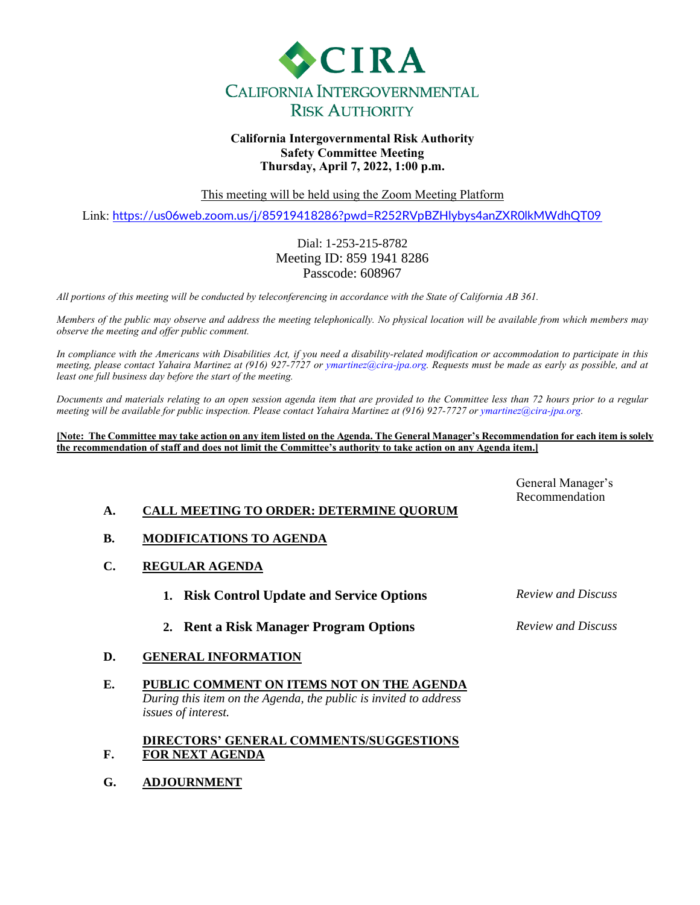

#### **California Intergovernmental Risk Authority Safety Committee Meeting Thursday, April 7, 2022, 1:00 p.m.**

This meeting will be held using the Zoom Meeting Platform

Link: <https://us06web.zoom.us/j/85919418286?pwd=R252RVpBZHlybys4anZXR0lkMWdhQT09>

#### Dial: 1-253-215-8782 Meeting ID: 859 1941 8286 Passcode: 608967

*All portions of this meeting will be conducted by teleconferencing in accordance with the State of California AB 361.*

*Members of the public may observe and address the meeting telephonically. No physical location will be available from which members may observe the meeting and offer public comment.*

*In compliance with the Americans with Disabilities Act, if you need a disability-related modification or accommodation to participate in this meeting, please contact Yahaira Martinez at (916) 927-7727 or ymartinez@cira-jpa.org. Requests must be made as early as possible, and at least one full business day before the start of the meeting.*

*Documents and materials relating to an open session agenda item that are provided to the Committee less than 72 hours prior to a regular meeting will be available for public inspection. Please contact Yahaira Martinez at (916) 927-7727 or ymartinez@cira-jpa.org.*

**[Note: The Committee may take action on any item listed on the Agenda. The General Manager's Recommendation for each item is solely the recommendation of staff and does not limit the Committee's authority to take action on any Agenda item.]**

|                                                | General Manager's<br>Recommendation |
|------------------------------------------------|-------------------------------------|
| <b>CALL MEETING TO ORDER: DETERMINE OUORUM</b> |                                     |

- **B. MODIFICATIONS TO AGENDA**
- **C. REGULAR AGENDA**
	- **1. Risk Control Update and Service Options** *Review and Discuss*
	- **2. Rent a Risk Manager Program Options** *Review and Discuss*
- 

- **D. GENERAL INFORMATION**
- **E. PUBLIC COMMENT ON ITEMS NOT ON THE AGENDA** *During this item on the Agenda, the public is invited to address issues of interest.*

#### **F. DIRECTORS' GENERAL COMMENTS/SUGGESTIONS FOR NEXT AGENDA**

**G. ADJOURNMENT**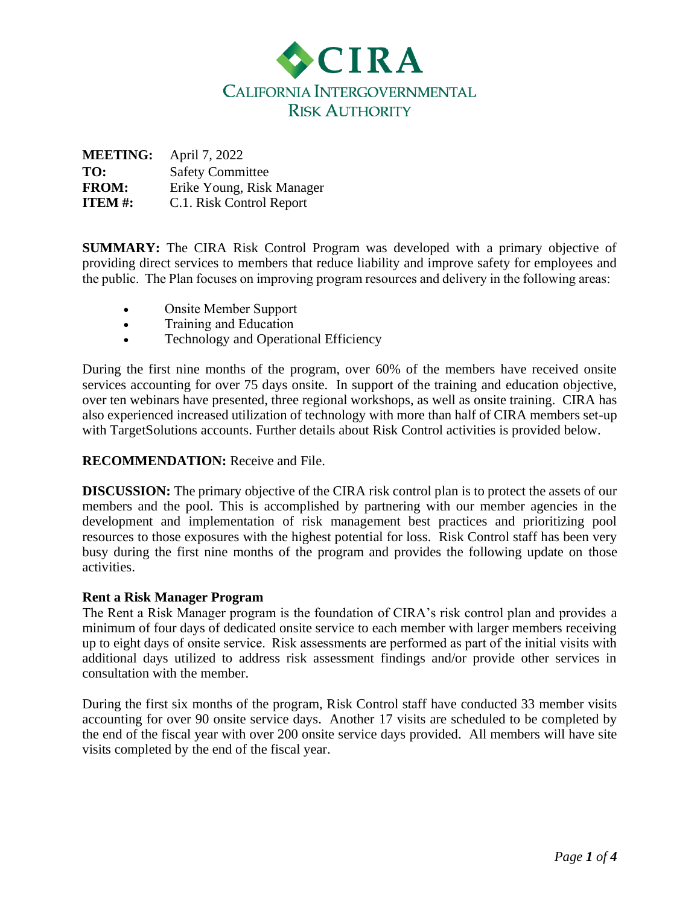

| April 7, 2022             |
|---------------------------|
| <b>Safety Committee</b>   |
| Erike Young, Risk Manager |
| C.1. Risk Control Report  |
|                           |

**SUMMARY:** The CIRA Risk Control Program was developed with a primary objective of providing direct services to members that reduce liability and improve safety for employees and the public.  The Plan focuses on improving program resources and delivery in the following areas: 

- Onsite Member Support
- Training and Education
- Technology and Operational Efficiency

During the first nine months of the program, over 60% of the members have received onsite services accounting for over 75 days onsite. In support of the training and education objective, over ten webinars have presented, three regional workshops, as well as onsite training. CIRA has also experienced increased utilization of technology with more than half of CIRA members set-up with TargetSolutions accounts. Further details about Risk Control activities is provided below.

## **RECOMMENDATION:** Receive and File.

**DISCUSSION:** The primary objective of the CIRA risk control plan is to protect the assets of our members and the pool. This is accomplished by partnering with our member agencies in the development and implementation of risk management best practices and prioritizing pool resources to those exposures with the highest potential for loss. Risk Control staff has been very busy during the first nine months of the program and provides the following update on those activities.

## **Rent a Risk Manager Program**

The Rent a Risk Manager program is the foundation of CIRA's risk control plan and provides a minimum of four days of dedicated onsite service to each member with larger members receiving up to eight days of onsite service.  Risk assessments are performed as part of the initial visits with additional days utilized to address risk assessment findings and/or provide other services in consultation with the member.

During the first six months of the program, Risk Control staff have conducted 33 member visits accounting for over 90 onsite service days. Another 17 visits are scheduled to be completed by the end of the fiscal year with over 200 onsite service days provided. All members will have site visits completed by the end of the fiscal year.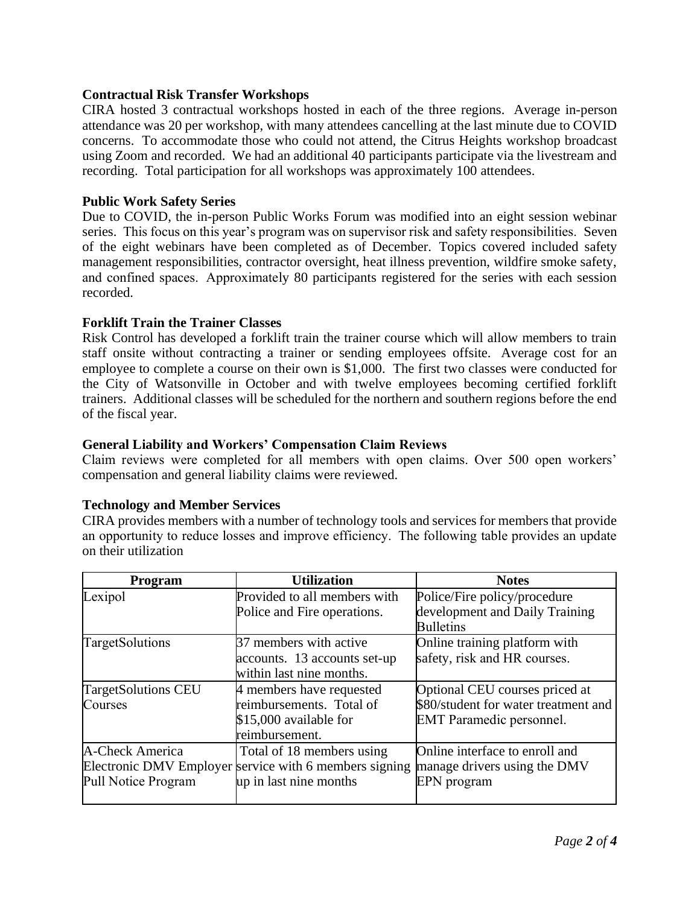## **Contractual Risk Transfer Workshops**

CIRA hosted 3 contractual workshops hosted in each of the three regions. Average in-person attendance was 20 per workshop, with many attendees cancelling at the last minute due to COVID concerns. To accommodate those who could not attend, the Citrus Heights workshop broadcast using Zoom and recorded. We had an additional 40 participants participate via the livestream and recording. Total participation for all workshops was approximately 100 attendees.

## **Public Work Safety Series**

Due to COVID, the in-person Public Works Forum was modified into an eight session webinar series. This focus on this year's program was on supervisor risk and safety responsibilities. Seven of the eight webinars have been completed as of December. Topics covered included safety management responsibilities, contractor oversight, heat illness prevention, wildfire smoke safety, and confined spaces.  Approximately 80 participants registered for the series with each session recorded.

## **Forklift Train the Trainer Classes**

Risk Control has developed a forklift train the trainer course which will allow members to train staff onsite without contracting a trainer or sending employees offsite. Average cost for an employee to complete a course on their own is \$1,000. The first two classes were conducted for the City of Watsonville in October and with twelve employees becoming certified forklift trainers. Additional classes will be scheduled for the northern and southern regions before the end of the fiscal year.

## **General Liability and Workers' Compensation Claim Reviews**

Claim reviews were completed for all members with open claims. Over 500 open workers' compensation and general liability claims were reviewed.

## **Technology and Member Services**

CIRA provides members with a number of technology tools and services for members that provide an opportunity to reduce losses and improve efficiency.  The following table provides an update on their utilization

| Program                    | <b>Utilization</b>                                     | <b>Notes</b>                         |
|----------------------------|--------------------------------------------------------|--------------------------------------|
| Lexipol                    | Provided to all members with                           | Police/Fire policy/procedure         |
|                            | Police and Fire operations.                            | development and Daily Training       |
|                            |                                                        | <b>Bulletins</b>                     |
| TargetSolutions            | 37 members with active                                 | Online training platform with        |
|                            | accounts. 13 accounts set-up                           | safety, risk and HR courses.         |
|                            | within last nine months.                               |                                      |
| <b>TargetSolutions CEU</b> | 4 members have requested                               | Optional CEU courses priced at       |
| Courses                    | reimbursements. Total of                               | \$80/student for water treatment and |
|                            | \$15,000 available for                                 | <b>EMT</b> Paramedic personnel.      |
|                            | reimbursement.                                         |                                      |
| <b>A-Check America</b>     | Total of 18 members using                              | Online interface to enroll and       |
|                            | Electronic DMV Employer service with 6 members signing | manage drivers using the DMV         |
| Pull Notice Program        | up in last nine months                                 | EPN program                          |
|                            |                                                        |                                      |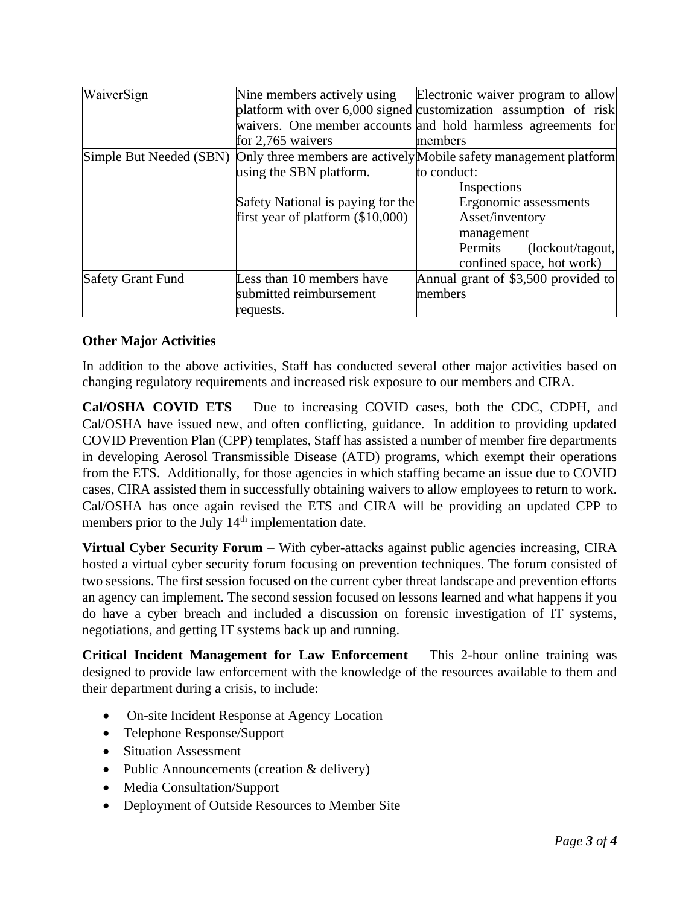| WaiverSign               | Nine members actively using<br>for $2,765$ waivers                                                  | Electronic waiver program to allow<br>platform with over $6,000$ signed customization assumption of risk<br>waivers. One member accounts and hold harmless agreements for<br>members                                                                 |
|--------------------------|-----------------------------------------------------------------------------------------------------|------------------------------------------------------------------------------------------------------------------------------------------------------------------------------------------------------------------------------------------------------|
|                          | using the SBN platform.<br>Safety National is paying for the<br>first year of platform $(\$10,000)$ | Simple But Needed (SBN) Only three members are actively Mobile safety management platform<br>to conduct:<br>Inspections<br>Ergonomic assessments<br>Asset/inventory<br>management<br>(lockout/tagout,<br><b>Permits</b><br>confined space, hot work) |
| <b>Safety Grant Fund</b> | Less than 10 members have<br>submitted reimbursement<br>requests.                                   | Annual grant of \$3,500 provided to<br>members                                                                                                                                                                                                       |

# **Other Major Activities**

In addition to the above activities, Staff has conducted several other major activities based on changing regulatory requirements and increased risk exposure to our members and CIRA.

**Cal/OSHA COVID ETS** – Due to increasing COVID cases, both the CDC, CDPH, and Cal/OSHA have issued new, and often conflicting, guidance. In addition to providing updated COVID Prevention Plan (CPP) templates, Staff has assisted a number of member fire departments in developing Aerosol Transmissible Disease (ATD) programs, which exempt their operations from the ETS. Additionally, for those agencies in which staffing became an issue due to COVID cases, CIRA assisted them in successfully obtaining waivers to allow employees to return to work. Cal/OSHA has once again revised the ETS and CIRA will be providing an updated CPP to members prior to the July 14<sup>th</sup> implementation date.

**Virtual Cyber Security Forum** – With cyber-attacks against public agencies increasing, CIRA hosted a virtual cyber security forum focusing on prevention techniques. The forum consisted of two sessions. The first session focused on the current cyber threat landscape and prevention efforts an agency can implement. The second session focused on lessons learned and what happens if you do have a cyber breach and included a discussion on forensic investigation of IT systems, negotiations, and getting IT systems back up and running.

**Critical Incident Management for Law Enforcement** – This 2-hour online training was designed to provide law enforcement with the knowledge of the resources available to them and their department during a crisis, to include:

- On-site Incident Response at Agency Location
- Telephone Response/Support
- Situation Assessment
- Public Announcements (creation & delivery)
- Media Consultation/Support
- Deployment of Outside Resources to Member Site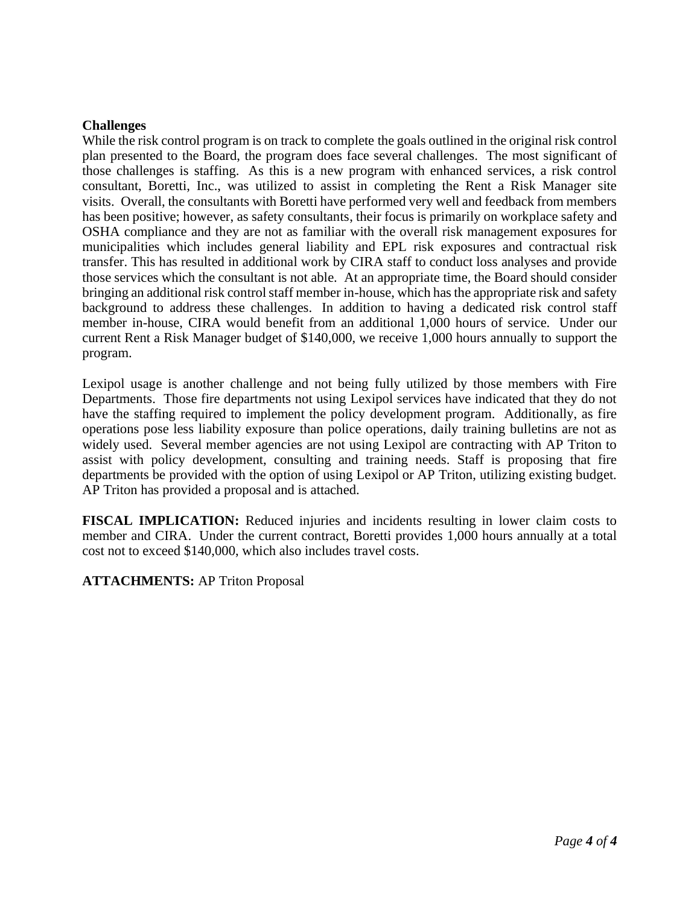#### **Challenges**

While the risk control program is on track to complete the goals outlined in the original risk control plan presented to the Board, the program does face several challenges. The most significant of those challenges is staffing. As this is a new program with enhanced services, a risk control consultant, Boretti, Inc., was utilized to assist in completing the Rent a Risk Manager site visits. Overall, the consultants with Boretti have performed very well and feedback from members has been positive; however, as safety consultants, their focus is primarily on workplace safety and OSHA compliance and they are not as familiar with the overall risk management exposures for municipalities which includes general liability and EPL risk exposures and contractual risk transfer. This has resulted in additional work by CIRA staff to conduct loss analyses and provide those services which the consultant is not able. At an appropriate time, the Board should consider bringing an additional risk control staff member in-house, which has the appropriate risk and safety background to address these challenges. In addition to having a dedicated risk control staff member in-house, CIRA would benefit from an additional 1,000 hours of service. Under our current Rent a Risk Manager budget of \$140,000, we receive 1,000 hours annually to support the program.

Lexipol usage is another challenge and not being fully utilized by those members with Fire Departments. Those fire departments not using Lexipol services have indicated that they do not have the staffing required to implement the policy development program. Additionally, as fire operations pose less liability exposure than police operations, daily training bulletins are not as widely used. Several member agencies are not using Lexipol are contracting with AP Triton to assist with policy development, consulting and training needs. Staff is proposing that fire departments be provided with the option of using Lexipol or AP Triton, utilizing existing budget. AP Triton has provided a proposal and is attached.

**FISCAL IMPLICATION:** Reduced injuries and incidents resulting in lower claim costs to member and CIRA. Under the current contract, Boretti provides 1,000 hours annually at a total cost not to exceed \$140,000, which also includes travel costs.

**ATTACHMENTS:** AP Triton Proposal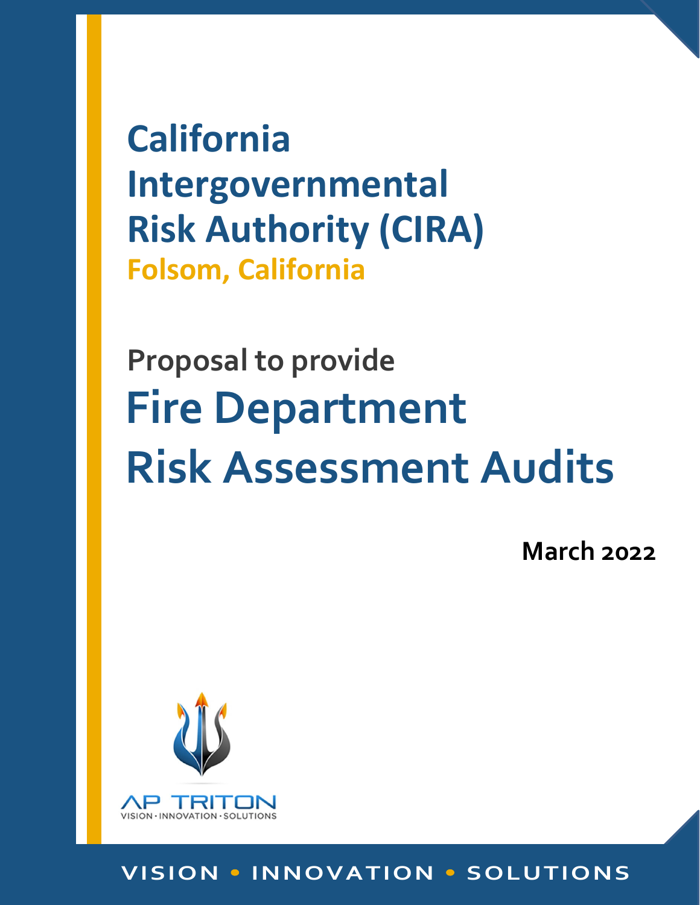**California Intergovernmental Risk Authority (CIRA) Folsom, California**

# **Proposal to provide Fire Department Risk Assessment Audits**

**March 2022**



# **VISION INNOVATION SOLUTIONS**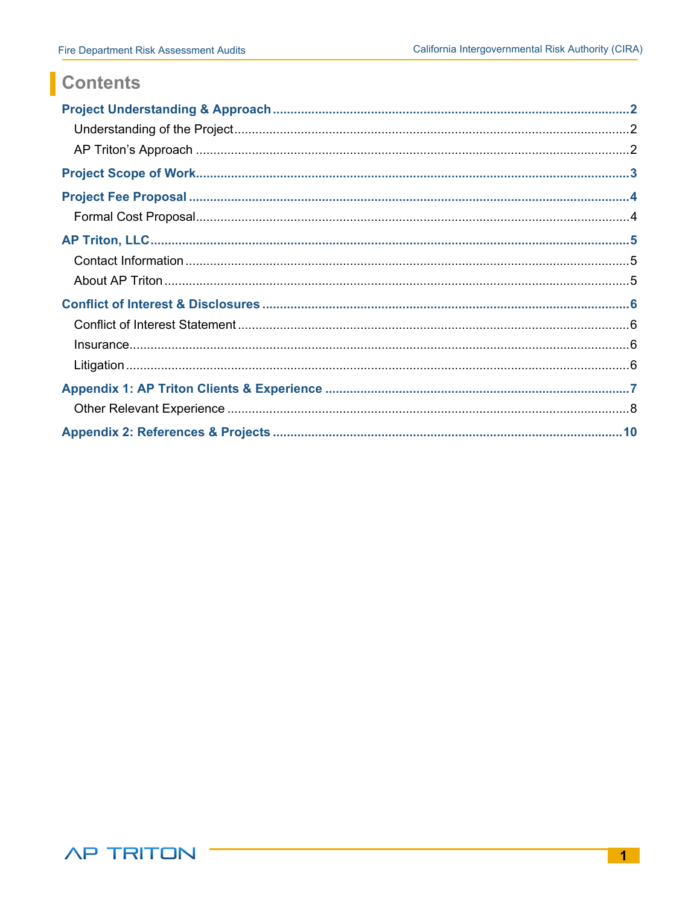# Contents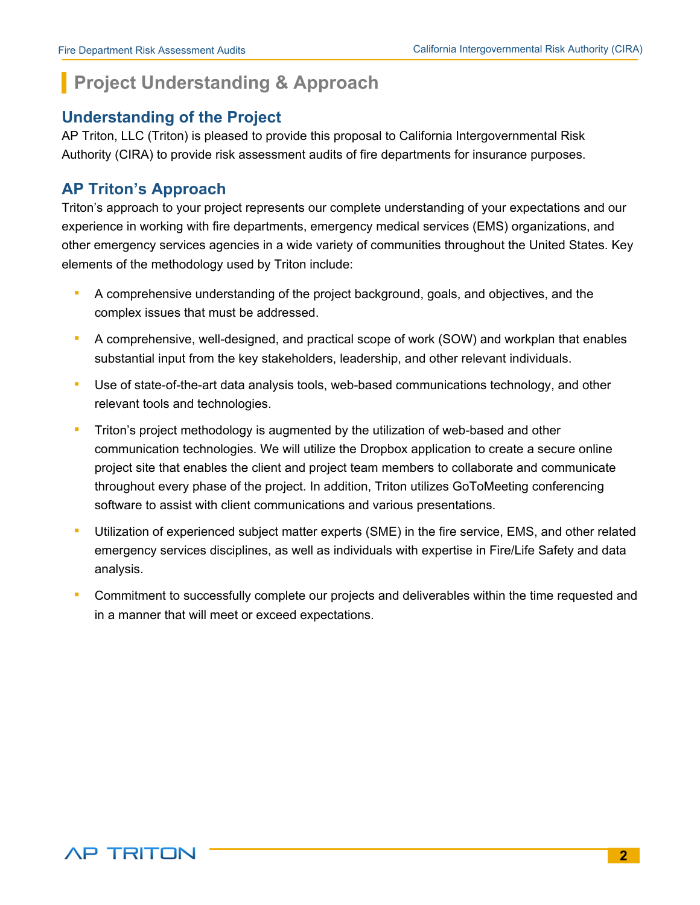# **Project Understanding & Approach**

# **Understanding of the Project**

AP Triton, LLC (Triton) is pleased to provide this proposal to California Intergovernmental Risk Authority (CIRA) to provide risk assessment audits of fire departments for insurance purposes.

# **AP Triton's Approach**

Triton's approach to your project represents our complete understanding of your expectations and our experience in working with fire departments, emergency medical services (EMS) organizations, and other emergency services agencies in a wide variety of communities throughout the United States. Key elements of the methodology used by Triton include:

- *▪* A comprehensive understanding of the project background, goals, and objectives, and the complex issues that must be addressed.
- A comprehensive, well-designed, and practical scope of work (SOW) and workplan that enables substantial input from the key stakeholders, leadership, and other relevant individuals.
- *▪* Use of state-of-the-art data analysis tools, web-based communications technology, and other relevant tools and technologies.
- *■* Triton's project methodology is augmented by the utilization of web-based and other communication technologies. We will utilize the Dropbox application to create a secure online project site that enables the client and project team members to collaborate and communicate throughout every phase of the project. In addition, Triton utilizes GoToMeeting conferencing software to assist with client communications and various presentations.
- *▪* Utilization of experienced subject matter experts (SME) in the fire service, EMS, and other related emergency services disciplines, as well as individuals with expertise in Fire/Life Safety and data analysis.
- Commitment to successfully complete our projects and deliverables within the time requested and in a manner that will meet or exceed expectations.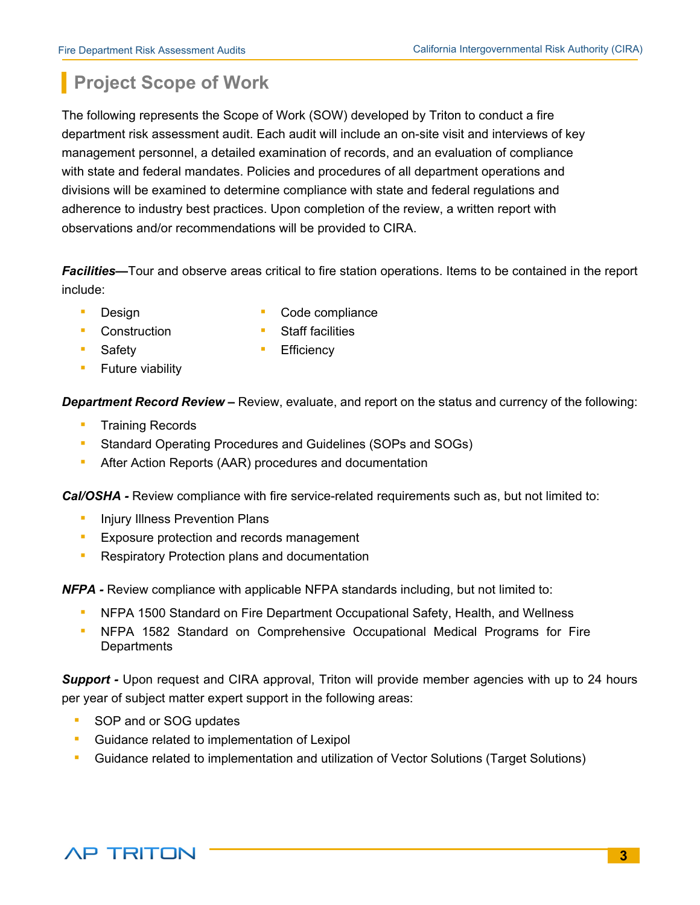# **Project Scope of Work**

The following represents the Scope of Work (SOW) developed by Triton to conduct a fire department risk assessment audit. Each audit will include an on-site visit and interviews of key management personnel, a detailed examination of records, and an evaluation of compliance with state and federal mandates. Policies and procedures of all department operations and divisions will be examined to determine compliance with state and federal regulations and adherence to industry best practices. Upon completion of the review, a written report with observations and/or recommendations will be provided to CIRA.

*Facilities***—**Tour and observe areas critical to fire station operations. Items to be contained in the report include:

- - **Design E** Code compliance
- *▪* Construction *▪* Staff facilities
	-
- **■** Safety **Efficiency** 
	- *▪* Future viability

*Department Record Review –* Review, evaluate, and report on the status and currency of the following:

- *▪* Training Records
- *▪* Standard Operating Procedures and Guidelines (SOPs and SOGs)
- After Action Reports (AAR) procedures and documentation

**Cal/OSHA -** Review compliance with fire service-related requirements such as, but not limited to:

- **Injury Illness Prevention Plans**
- *▪* Exposure protection and records management
- *▪* Respiratory Protection plans and documentation

*NFPA -* Review compliance with applicable NFPA standards including, but not limited to:

- *▪* NFPA 1500 Standard on Fire Department Occupational Safety, Health, and Wellness
- **NFPA 1582 Standard on Comprehensive Occupational Medical Programs for Fire Departments**

**Support -** Upon request and CIRA approval, Triton will provide member agencies with up to 24 hours per year of subject matter expert support in the following areas:

- **SOP and or SOG updates**
- Guidance related to implementation of Lexipol
- **•** Guidance related to implementation and utilization of Vector Solutions (Target Solutions)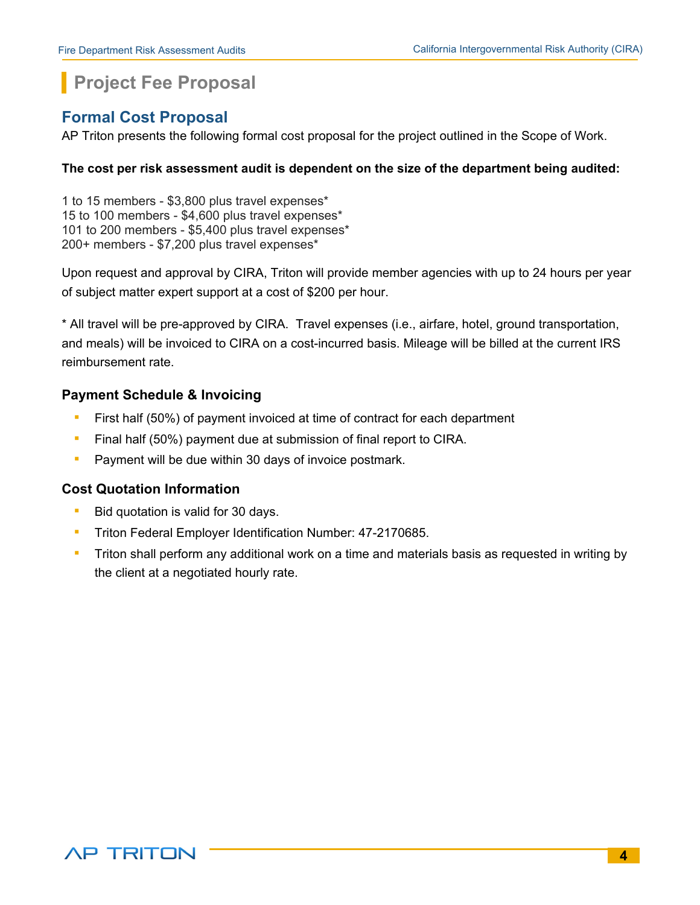# **Project Fee Proposal**

# **Formal Cost Proposal**

AP Triton presents the following formal cost proposal for the project outlined in the Scope of Work.

## **The cost per risk assessment audit is dependent on the size of the department being audited:**

1 to 15 members - \$3,800 plus travel expenses\* 15 to 100 members - \$4,600 plus travel expenses\* 101 to 200 members - \$5,400 plus travel expenses\* 200+ members - \$7,200 plus travel expenses\*

Upon request and approval by CIRA, Triton will provide member agencies with up to 24 hours per year of subject matter expert support at a cost of \$200 per hour.

\* All travel will be pre-approved by CIRA. Travel expenses (i.e., airfare, hotel, ground transportation, and meals) will be invoiced to CIRA on a cost-incurred basis. Mileage will be billed at the current IRS reimbursement rate.

# **Payment Schedule & Invoicing**

- *▪* First half (50%) of payment invoiced at time of contract for each department
- *▪* Final half (50%) payment due at submission of final report to CIRA.
- *▪* Payment will be due within 30 days of invoice postmark.

# **Cost Quotation Information**

- *▪* Bid quotation is valid for 30 days.
- *▪* Triton Federal Employer Identification Number: 47-2170685.
- *▪* Triton shall perform any additional work on a time and materials basis as requested in writing by the client at a negotiated hourly rate.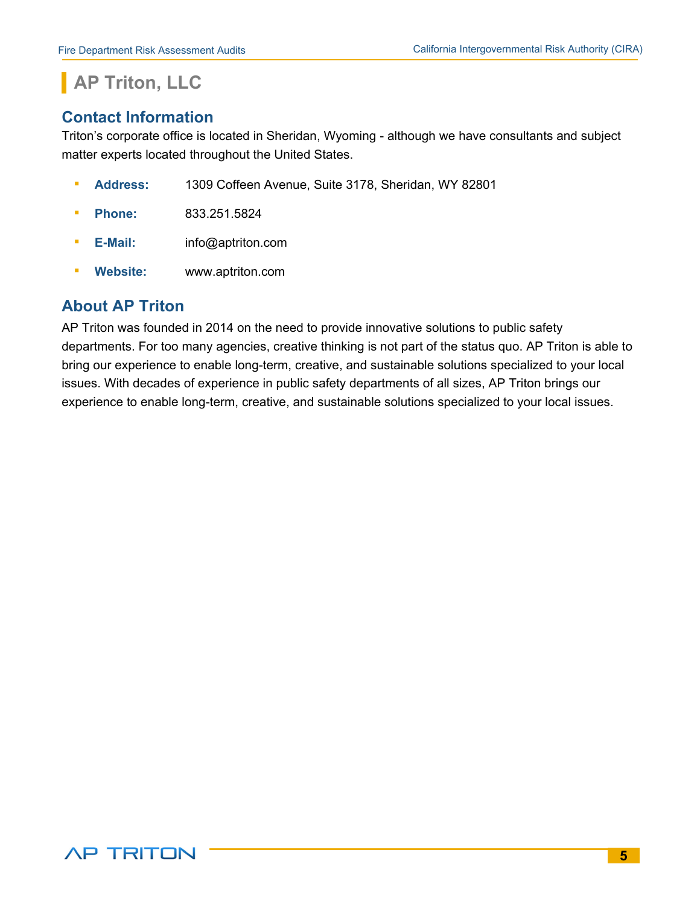# **AP Triton, LLC**

# **Contact Information**

Triton's corporate office is located in Sheridan, Wyoming - although we have consultants and subject matter experts located throughout the United States.

- *▪* **Address:** 1309 Coffeen Avenue, Suite 3178, Sheridan, WY 82801
- *▪* **Phone:** 833.251.5824
- *▪* **E-Mail:** info@aptriton.com
- **Website: www.aptriton.com**

# **About AP Triton**

AP Triton was founded in 2014 on the need to provide innovative solutions to public safety departments. For too many agencies, creative thinking is not part of the status quo. AP Triton is able to bring our experience to enable long-term, creative, and sustainable solutions specialized to your local issues. With decades of experience in public safety departments of all sizes, AP Triton brings our experience to enable long-term, creative, and sustainable solutions specialized to your local issues.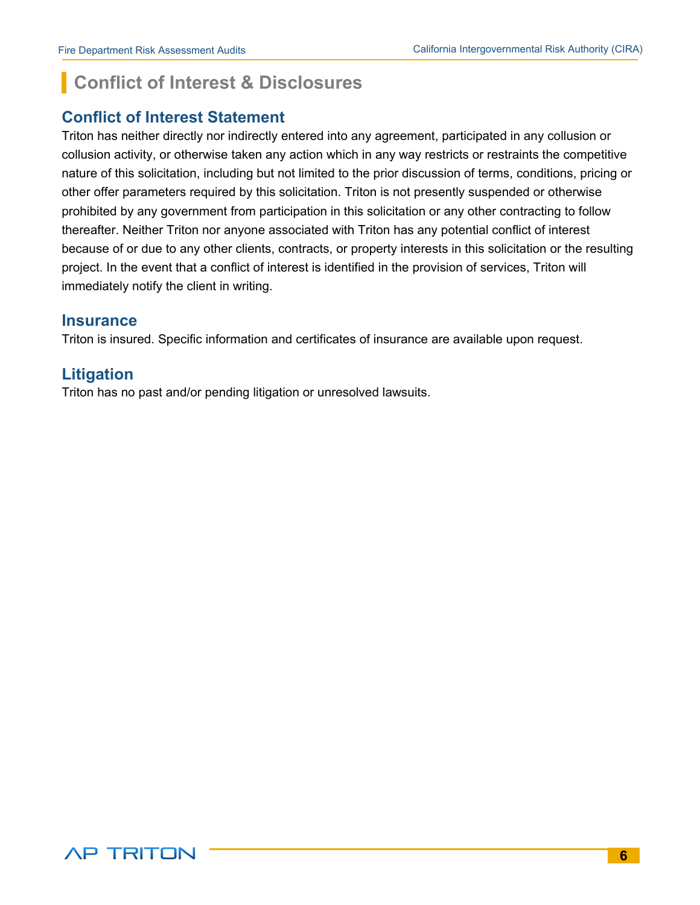# **Conflict of Interest & Disclosures**

# **Conflict of Interest Statement**

Triton has neither directly nor indirectly entered into any agreement, participated in any collusion or collusion activity, or otherwise taken any action which in any way restricts or restraints the competitive nature of this solicitation, including but not limited to the prior discussion of terms, conditions, pricing or other offer parameters required by this solicitation. Triton is not presently suspended or otherwise prohibited by any government from participation in this solicitation or any other contracting to follow thereafter. Neither Triton nor anyone associated with Triton has any potential conflict of interest because of or due to any other clients, contracts, or property interests in this solicitation or the resulting project. In the event that a conflict of interest is identified in the provision of services, Triton will immediately notify the client in writing.

# **Insurance**

Triton is insured. Specific information and certificates of insurance are available upon request.

# **Litigation**

Triton has no past and/or pending litigation or unresolved lawsuits.

**AP TRITON**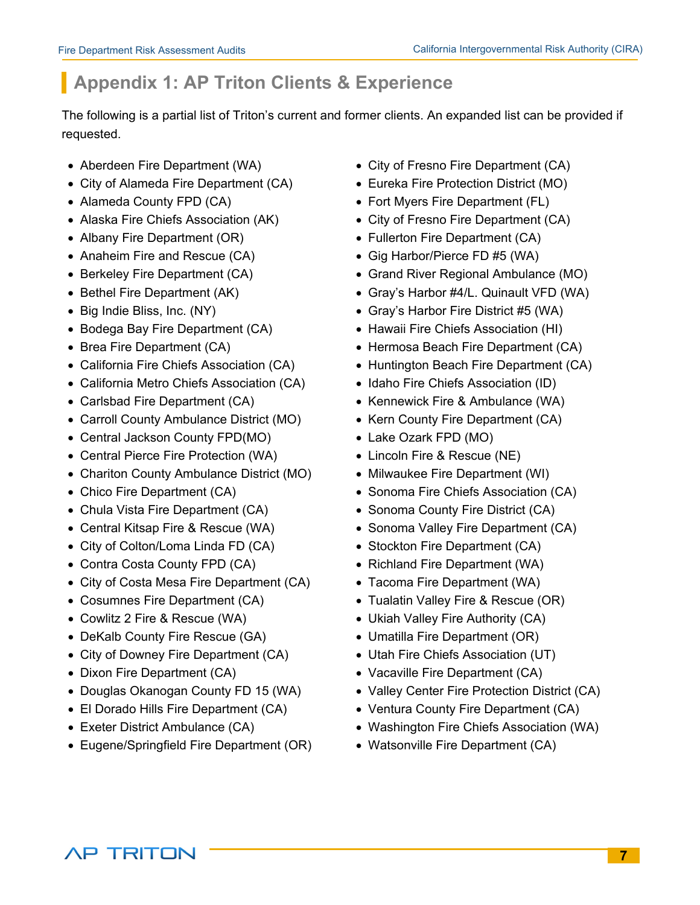# **Appendix 1: AP Triton Clients & Experience**

The following is a partial list of Triton's current and former clients. An expanded list can be provided if requested.

- 
- City of Alameda Fire Department (CA) Eureka Fire Protection District (MO)
- 
- 
- 
- Anaheim Fire and Rescue (CA) Gig Harbor/Pierce FD #5 (WA)
- 
- 
- 
- Bodega Bay Fire Department (CA) Hawaii Fire Chiefs Association (HI)
- 
- 
- California Metro Chiefs Association (CA) Idaho Fire Chiefs Association (ID)
- 
- Carroll County Ambulance District (MO) Kern County Fire Department (CA)
- Central Jackson County FPD(MO) Lake Ozark FPD (MO)
- Central Pierce Fire Protection (WA) Lincoln Fire & Rescue (NE)
- Chariton County Ambulance District (MO) Milwaukee Fire Department (WI)
- 
- Chula Vista Fire Department (CA) Sonoma County Fire District (CA)
- 
- City of Colton/Loma Linda FD (CA) Stockton Fire Department (CA)
- Contra Costa County FPD (CA) Richland Fire Department (WA)
- City of Costa Mesa Fire Department (CA) Tacoma Fire Department (WA)
- 
- 
- DeKalb County Fire Rescue (GA) Umatilla Fire Department (OR)
- City of Downey Fire Department (CA) Utah Fire Chiefs Association (UT)
- 
- 
- 
- 
- Eugene/Springfield Fire Department (OR) Watsonville Fire Department (CA)
- Aberdeen Fire Department (WA) City of Fresno Fire Department (CA)
	-
- Alameda County FPD (CA) Fort Myers Fire Department (FL)
- Alaska Fire Chiefs Association (AK) City of Fresno Fire Department (CA)
- Albany Fire Department (OR) Fullerton Fire Department (CA)
	-
- Berkeley Fire Department (CA) Grand River Regional Ambulance (MO)
- Bethel Fire Department (AK) Gray's Harbor #4/L. Quinault VFD (WA)
- Big Indie Bliss, Inc. (NY) Gray's Harbor Fire District #5 (WA)
	-
- Brea Fire Department (CA) **example 2** Hermosa Beach Fire Department (CA)
- California Fire Chiefs Association (CA) Huntington Beach Fire Department (CA)
	-
- Carlsbad Fire Department (CA) **•** Kennewick Fire & Ambulance (WA)
	-
	-
	-
	-
- Chico Fire Department (CA) Sonoma Fire Chiefs Association (CA)
	-
- Central Kitsap Fire & Rescue (WA) Sonoma Valley Fire Department (CA)
	-
	-
	-
- Cosumnes Fire Department (CA) Tualatin Valley Fire & Rescue (OR)
- Cowlitz 2 Fire & Rescue (WA) Ukiah Valley Fire Authority (CA)
	-
	-
- Dixon Fire Department (CA) **•** Vacaville Fire Department (CA)
- Douglas Okanogan County FD 15 (WA) Valley Center Fire Protection District (CA)
- El Dorado Hills Fire Department (CA) Ventura County Fire Department (CA)
- Exeter District Ambulance (CA) Washington Fire Chiefs Association (WA)
	-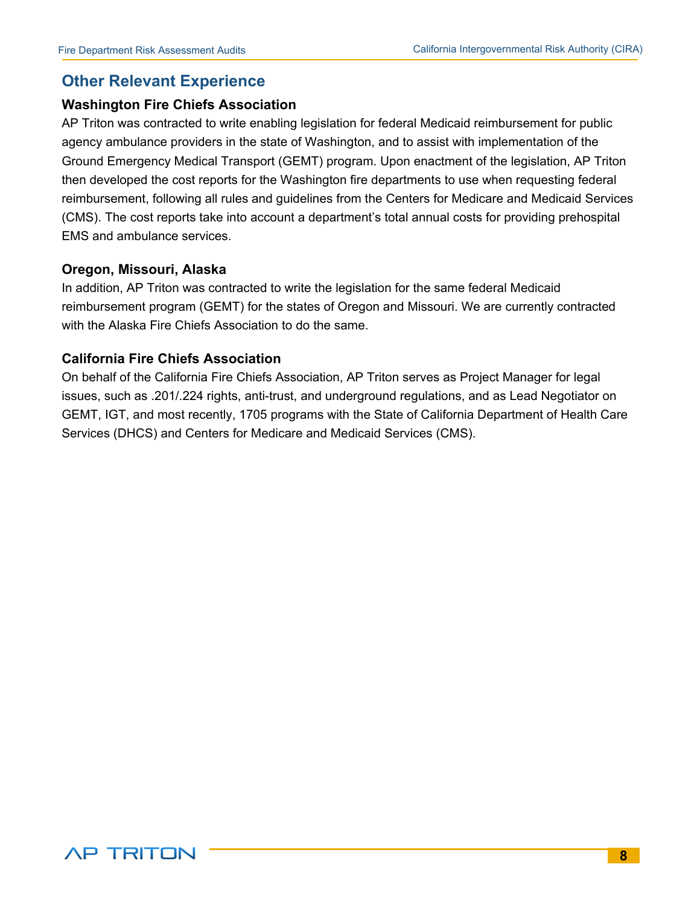# **Other Relevant Experience**

#### **Washington Fire Chiefs Association**

AP Triton was contracted to write enabling legislation for federal Medicaid reimbursement for public agency ambulance providers in the state of Washington, and to assist with implementation of the Ground Emergency Medical Transport (GEMT) program. Upon enactment of the legislation, AP Triton then developed the cost reports for the Washington fire departments to use when requesting federal reimbursement, following all rules and guidelines from the Centers for Medicare and Medicaid Services (CMS). The cost reports take into account a department's total annual costs for providing prehospital EMS and ambulance services.

#### **Oregon, Missouri, Alaska**

In addition, AP Triton was contracted to write the legislation for the same federal Medicaid reimbursement program (GEMT) for the states of Oregon and Missouri. We are currently contracted with the Alaska Fire Chiefs Association to do the same.

# **California Fire Chiefs Association**

On behalf of the California Fire Chiefs Association, AP Triton serves as Project Manager for legal issues, such as .201/.224 rights, anti-trust, and underground regulations, and as Lead Negotiator on GEMT, IGT, and most recently, 1705 programs with the State of California Department of Health Care Services (DHCS) and Centers for Medicare and Medicaid Services (CMS).

# **AP TRITON**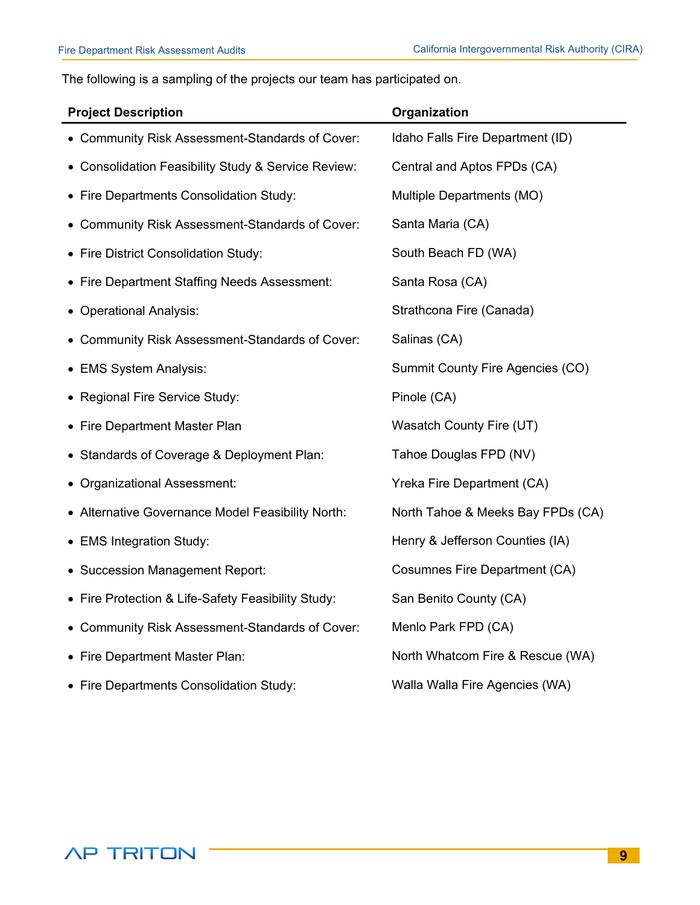The following is a sampling of the projects our team has participated on.

| <b>Project Description</b>                          | Organization                         |
|-----------------------------------------------------|--------------------------------------|
| • Community Risk Assessment-Standards of Cover:     | Idaho Falls Fire Department (ID)     |
| • Consolidation Feasibility Study & Service Review: | Central and Aptos FPDs (CA)          |
| • Fire Departments Consolidation Study:             | Multiple Departments (MO)            |
| • Community Risk Assessment-Standards of Cover:     | Santa Maria (CA)                     |
| • Fire District Consolidation Study:                | South Beach FD (WA)                  |
| • Fire Department Staffing Needs Assessment:        | Santa Rosa (CA)                      |
| • Operational Analysis:                             | Strathcona Fire (Canada)             |
| • Community Risk Assessment-Standards of Cover:     | Salinas (CA)                         |
| • EMS System Analysis:                              | Summit County Fire Agencies (CO)     |
| • Regional Fire Service Study:                      | Pinole (CA)                          |
| • Fire Department Master Plan                       | Wasatch County Fire (UT)             |
| • Standards of Coverage & Deployment Plan:          | Tahoe Douglas FPD (NV)               |
| • Organizational Assessment:                        | Yreka Fire Department (CA)           |
| • Alternative Governance Model Feasibility North:   | North Tahoe & Meeks Bay FPDs (CA)    |
| • EMS Integration Study:                            | Henry & Jefferson Counties (IA)      |
| • Succession Management Report:                     | <b>Cosumnes Fire Department (CA)</b> |
| • Fire Protection & Life-Safety Feasibility Study:  | San Benito County (CA)               |
| • Community Risk Assessment-Standards of Cover:     | Menlo Park FPD (CA)                  |
| • Fire Department Master Plan:                      | North Whatcom Fire & Rescue (WA)     |
| • Fire Departments Consolidation Study:             | Walla Walla Fire Agencies (WA)       |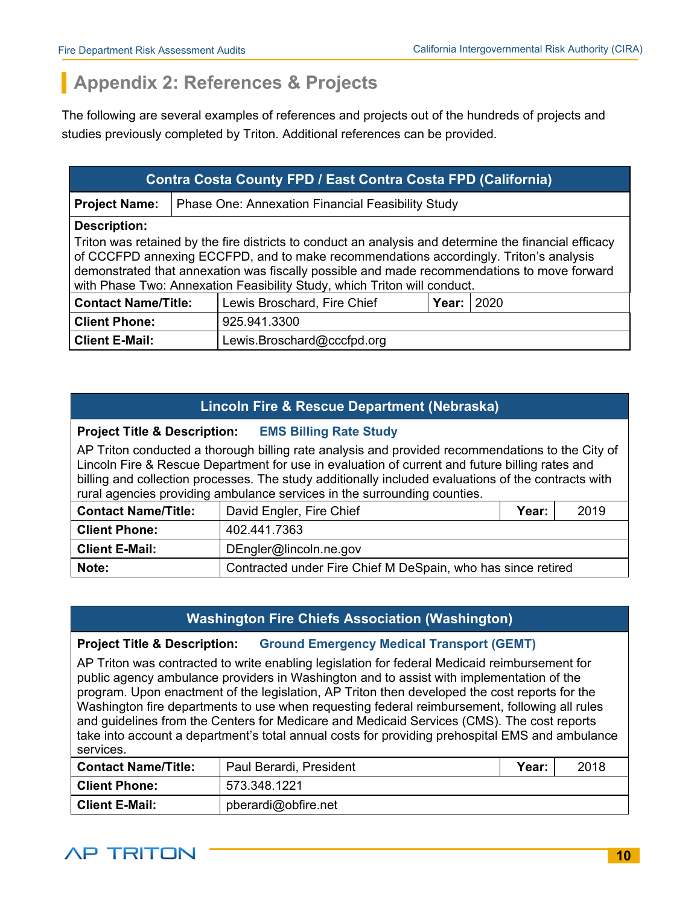# **Appendix 2: References & Projects**

The following are several examples of references and projects out of the hundreds of projects and studies previously completed by Triton. Additional references can be provided.

| <b>Contra Costa County FPD / East Contra Costa FPD (California)</b>                                                                                                                                                   |                                                                                                                                                                         |                                                          |  |  |  |  |
|-----------------------------------------------------------------------------------------------------------------------------------------------------------------------------------------------------------------------|-------------------------------------------------------------------------------------------------------------------------------------------------------------------------|----------------------------------------------------------|--|--|--|--|
| <b>Project Name:</b>                                                                                                                                                                                                  |                                                                                                                                                                         | <b>Phase One: Annexation Financial Feasibility Study</b> |  |  |  |  |
| <b>Description:</b><br>Triton was retained by the fire districts to conduct an analysis and determine the financial efficacy<br>of CCCFPD annexing ECCFPD, and to make recommendations accordingly. Triton's analysis |                                                                                                                                                                         |                                                          |  |  |  |  |
|                                                                                                                                                                                                                       | demonstrated that annexation was fiscally possible and made recommendations to move forward<br>with Phase Two: Annexation Feasibility Study, which Triton will conduct. |                                                          |  |  |  |  |
|                                                                                                                                                                                                                       | <b>Contact Name/Title:</b><br>Lewis Broschard, Fire Chief<br>Year:<br>2020                                                                                              |                                                          |  |  |  |  |
| <b>Client Phone:</b>                                                                                                                                                                                                  | 925.941.3300                                                                                                                                                            |                                                          |  |  |  |  |
| <b>Client E-Mail:</b><br>Lewis.Broschard@cccfpd.org                                                                                                                                                                   |                                                                                                                                                                         |                                                          |  |  |  |  |

# **Lincoln Fire & Rescue Department (Nebraska)**

## **Project Title & Description: EMS Billing Rate Study**

AP Triton conducted a thorough billing rate analysis and provided recommendations to the City of Lincoln Fire & Rescue Department for use in evaluation of current and future billing rates and billing and collection processes. The study additionally included evaluations of the contracts with rural agencies providing ambulance services in the surrounding counties.

| David Engler, Fire Chief<br><b>Contact Name/Title:</b> |                                                              | Year: | 2019 |
|--------------------------------------------------------|--------------------------------------------------------------|-------|------|
| <b>Client Phone:</b>                                   | 402.441.7363                                                 |       |      |
| <b>Client E-Mail:</b>                                  | DEngler@lincoln.ne.gov                                       |       |      |
| Note:                                                  | Contracted under Fire Chief M DeSpain, who has since retired |       |      |

# **Washington Fire Chiefs Association (Washington)**

## **Project Title & Description: Ground Emergency Medical Transport (GEMT)**

AP Triton was contracted to write enabling legislation for federal Medicaid reimbursement for public agency ambulance providers in Washington and to assist with implementation of the program. Upon enactment of the legislation, AP Triton then developed the cost reports for the Washington fire departments to use when requesting federal reimbursement, following all rules and guidelines from the Centers for Medicare and Medicaid Services (CMS). The cost reports take into account a department's total annual costs for providing prehospital EMS and ambulance services.

| <b>Contact Name/Title:</b> | Paul Berardi, President | Year: | 2018 |
|----------------------------|-------------------------|-------|------|
| <b>Client Phone:</b>       | 573.348.1221            |       |      |
| <b>Client E-Mail:</b>      | pberardi@obfire.net     |       |      |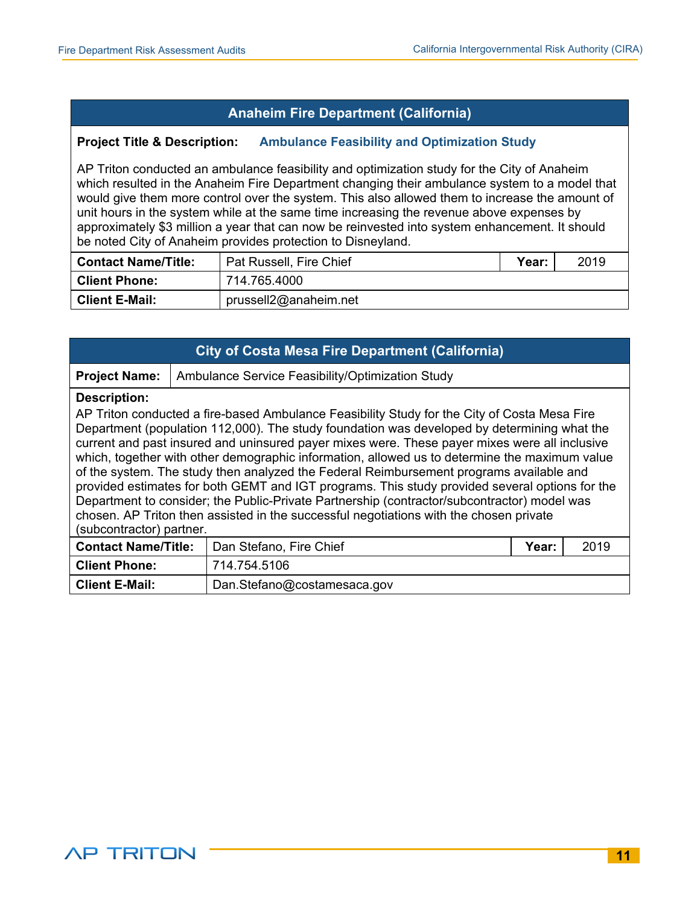# **Anaheim Fire Department (California)**

#### **Project Title & Description: Ambulance Feasibility and Optimization Study**

AP Triton conducted an ambulance feasibility and optimization study for the City of Anaheim which resulted in the Anaheim Fire Department changing their ambulance system to a model that would give them more control over the system. This also allowed them to increase the amount of unit hours in the system while at the same time increasing the revenue above expenses by approximately \$3 million a year that can now be reinvested into system enhancement. It should be noted City of Anaheim provides protection to Disneyland.

| <b>Contact Name/Title:</b> | Pat Russell, Fire Chief | Year: | 2019 |
|----------------------------|-------------------------|-------|------|
| <b>Client Phone:</b>       | 714.765.4000            |       |      |
| <b>Client E-Mail:</b>      | prussell2@anaheim.net   |       |      |

| <b>City of Costa Mesa Fire Department (California)</b>                                                                                                                                                                                                                                                                                                                                                                                                                                                                                                                                                                                                                                                                                                                                                                                 |                                                  |                         |       |      |  |  |
|----------------------------------------------------------------------------------------------------------------------------------------------------------------------------------------------------------------------------------------------------------------------------------------------------------------------------------------------------------------------------------------------------------------------------------------------------------------------------------------------------------------------------------------------------------------------------------------------------------------------------------------------------------------------------------------------------------------------------------------------------------------------------------------------------------------------------------------|--------------------------------------------------|-------------------------|-------|------|--|--|
| <b>Project Name:</b>                                                                                                                                                                                                                                                                                                                                                                                                                                                                                                                                                                                                                                                                                                                                                                                                                   | Ambulance Service Feasibility/Optimization Study |                         |       |      |  |  |
| <b>Description:</b><br>AP Triton conducted a fire-based Ambulance Feasibility Study for the City of Costa Mesa Fire<br>Department (population 112,000). The study foundation was developed by determining what the<br>current and past insured and uninsured payer mixes were. These payer mixes were all inclusive<br>which, together with other demographic information, allowed us to determine the maximum value<br>of the system. The study then analyzed the Federal Reimbursement programs available and<br>provided estimates for both GEMT and IGT programs. This study provided several options for the<br>Department to consider; the Public-Private Partnership (contractor/subcontractor) model was<br>chosen. AP Triton then assisted in the successful negotiations with the chosen private<br>(subcontractor) partner. |                                                  |                         |       |      |  |  |
| <b>Contact Name/Title:</b>                                                                                                                                                                                                                                                                                                                                                                                                                                                                                                                                                                                                                                                                                                                                                                                                             |                                                  | Dan Stefano, Fire Chief | Year: | 2019 |  |  |
| <b>Client Phone:</b>                                                                                                                                                                                                                                                                                                                                                                                                                                                                                                                                                                                                                                                                                                                                                                                                                   |                                                  | 714.754.5106            |       |      |  |  |
| <b>Client E-Mail:</b><br>Dan.Stefano@costamesaca.gov                                                                                                                                                                                                                                                                                                                                                                                                                                                                                                                                                                                                                                                                                                                                                                                   |                                                  |                         |       |      |  |  |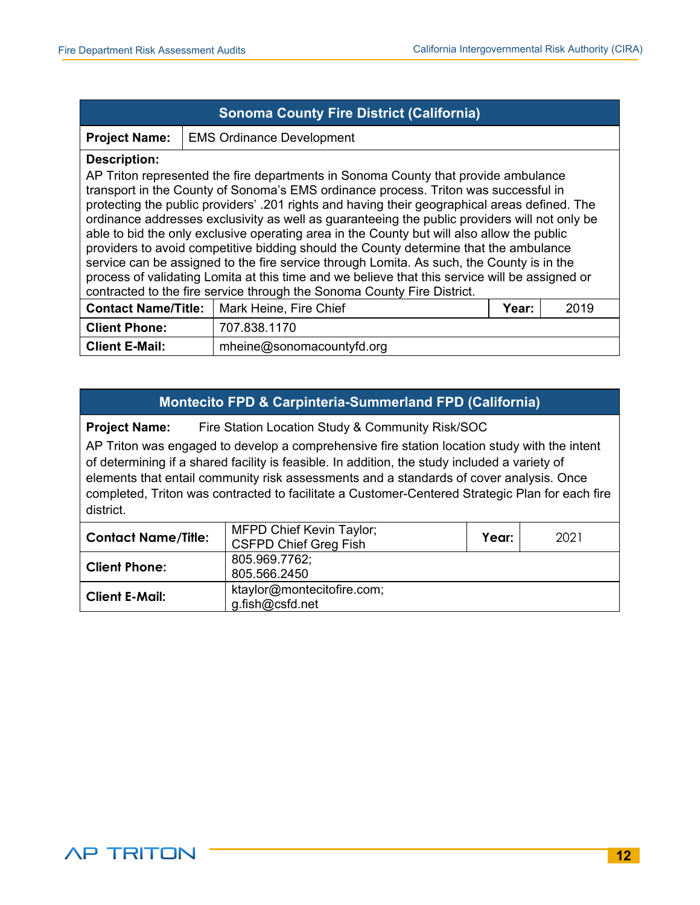| <b>Sonoma County Fire District (California)</b>                                                                                                                                                                                                                                                                                                                                                                                                                                                                                                                                                                                                                                                                                                                                                                                                                     |                                  |  |  |  |  |  |
|---------------------------------------------------------------------------------------------------------------------------------------------------------------------------------------------------------------------------------------------------------------------------------------------------------------------------------------------------------------------------------------------------------------------------------------------------------------------------------------------------------------------------------------------------------------------------------------------------------------------------------------------------------------------------------------------------------------------------------------------------------------------------------------------------------------------------------------------------------------------|----------------------------------|--|--|--|--|--|
| <b>Project Name:</b>                                                                                                                                                                                                                                                                                                                                                                                                                                                                                                                                                                                                                                                                                                                                                                                                                                                | <b>EMS Ordinance Development</b> |  |  |  |  |  |
| <b>Description:</b><br>AP Triton represented the fire departments in Sonoma County that provide ambulance<br>transport in the County of Sonoma's EMS ordinance process. Triton was successful in<br>protecting the public providers' .201 rights and having their geographical areas defined. The<br>ordinance addresses exclusivity as well as guaranteeing the public providers will not only be<br>able to bid the only exclusive operating area in the County but will also allow the public<br>providers to avoid competitive bidding should the County determine that the ambulance<br>service can be assigned to the fire service through Lomita. As such, the County is in the<br>process of validating Lomita at this time and we believe that this service will be assigned or<br>contracted to the fire service through the Sonoma County Fire District. |                                  |  |  |  |  |  |
| <b>Contact Name/Title:</b>   Mark Heine, Fire Chief<br>2019<br>Year:                                                                                                                                                                                                                                                                                                                                                                                                                                                                                                                                                                                                                                                                                                                                                                                                |                                  |  |  |  |  |  |
| <b>Client Phone:</b>                                                                                                                                                                                                                                                                                                                                                                                                                                                                                                                                                                                                                                                                                                                                                                                                                                                | 707.838.1170                     |  |  |  |  |  |
| <b>Client E-Mail:</b><br>mheine@sonomacountyfd.org                                                                                                                                                                                                                                                                                                                                                                                                                                                                                                                                                                                                                                                                                                                                                                                                                  |                                  |  |  |  |  |  |

## **Montecito FPD & Carpinteria-Summerland FPD (California)**

**Project Name:** Fire Station Location Study & Community Risk/SOC

AP Triton was engaged to develop a comprehensive fire station location study with the intent of determining if a shared facility is feasible. In addition, the study included a variety of elements that entail community risk assessments and a standards of cover analysis. Once completed, Triton was contracted to facilitate a Customer-Centered Strategic Plan for each fire district.

| <b>Contact Name/Title:</b> | <b>MFPD Chief Kevin Taylor;</b><br>Year:<br><b>CSFPD Chief Greg Fish</b> |  | 2021 |
|----------------------------|--------------------------------------------------------------------------|--|------|
| <b>Client Phone:</b>       | 805.969.7762;<br>805.566.2450                                            |  |      |
| <b>Client E-Mail:</b>      | ktaylor@montecitofire.com;<br>g.fish@csfd.net                            |  |      |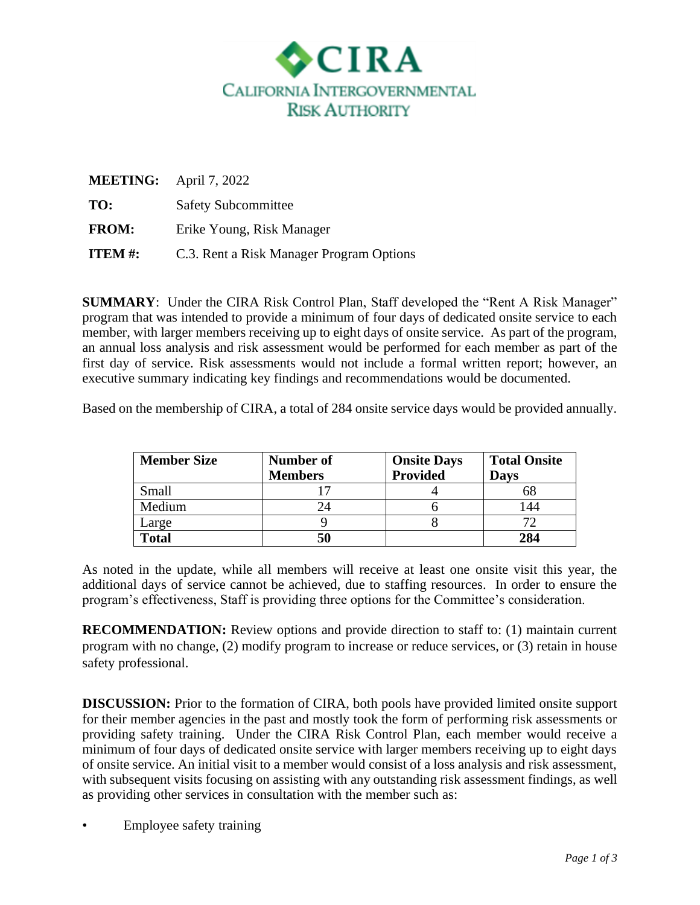

|               | <b>MEETING:</b> April 7, 2022            |
|---------------|------------------------------------------|
| TO:           | <b>Safety Subcommittee</b>               |
| <b>FROM:</b>  | Erike Young, Risk Manager                |
| <b>ITEM#:</b> | C.3. Rent a Risk Manager Program Options |

**SUMMARY:** Under the CIRA Risk Control Plan, Staff developed the "Rent A Risk Manager" program that was intended to provide a minimum of four days of dedicated onsite service to each member, with larger members receiving up to eight days of onsite service. As part of the program, an annual loss analysis and risk assessment would be performed for each member as part of the first day of service. Risk assessments would not include a formal written report; however, an executive summary indicating key findings and recommendations would be documented.

Based on the membership of CIRA, a total of 284 onsite service days would be provided annually.

| <b>Member Size</b> | <b>Number of</b> | <b>Onsite Days</b> | <b>Total Onsite</b> |
|--------------------|------------------|--------------------|---------------------|
|                    | <b>Members</b>   | <b>Provided</b>    | <b>Days</b>         |
| Small              |                  |                    | 68                  |
| Medium             | 24               |                    | 44                  |
| Large              |                  |                    |                     |
| <b>Total</b>       | 50               |                    | 284                 |

As noted in the update, while all members will receive at least one onsite visit this year, the additional days of service cannot be achieved, due to staffing resources. In order to ensure the program's effectiveness, Staff is providing three options for the Committee's consideration.

**RECOMMENDATION:** Review options and provide direction to staff to: (1) maintain current program with no change, (2) modify program to increase or reduce services, or (3) retain in house safety professional.

**DISCUSSION:** Prior to the formation of CIRA, both pools have provided limited onsite support for their member agencies in the past and mostly took the form of performing risk assessments or providing safety training. Under the CIRA Risk Control Plan, each member would receive a minimum of four days of dedicated onsite service with larger members receiving up to eight days of onsite service. An initial visit to a member would consist of a loss analysis and risk assessment, with subsequent visits focusing on assisting with any outstanding risk assessment findings, as well as providing other services in consultation with the member such as:

Employee safety training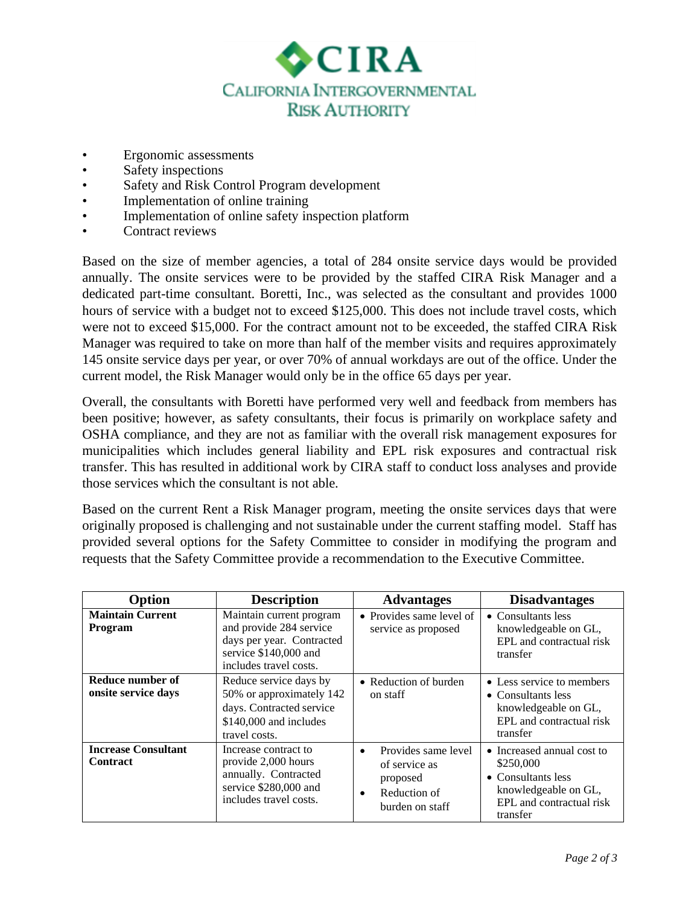

- Ergonomic assessments
- Safety inspections
- Safety and Risk Control Program development
- Implementation of online training
- Implementation of online safety inspection platform
- Contract reviews

Based on the size of member agencies, a total of 284 onsite service days would be provided annually. The onsite services were to be provided by the staffed CIRA Risk Manager and a dedicated part-time consultant. Boretti, Inc., was selected as the consultant and provides 1000 hours of service with a budget not to exceed \$125,000. This does not include travel costs, which were not to exceed \$15,000. For the contract amount not to be exceeded, the staffed CIRA Risk Manager was required to take on more than half of the member visits and requires approximately 145 onsite service days per year, or over 70% of annual workdays are out of the office. Under the current model, the Risk Manager would only be in the office 65 days per year.

Overall, the consultants with Boretti have performed very well and feedback from members has been positive; however, as safety consultants, their focus is primarily on workplace safety and OSHA compliance, and they are not as familiar with the overall risk management exposures for municipalities which includes general liability and EPL risk exposures and contractual risk transfer. This has resulted in additional work by CIRA staff to conduct loss analyses and provide those services which the consultant is not able.

Based on the current Rent a Risk Manager program, meeting the onsite services days that were originally proposed is challenging and not sustainable under the current staffing model. Staff has provided several options for the Safety Committee to consider in modifying the program and requests that the Safety Committee provide a recommendation to the Executive Committee.

| Option                                        | <b>Description</b>                                                                                                                  | <b>Advantages</b>                                                                                             | <b>Disadvantages</b>                                                                                                          |
|-----------------------------------------------|-------------------------------------------------------------------------------------------------------------------------------------|---------------------------------------------------------------------------------------------------------------|-------------------------------------------------------------------------------------------------------------------------------|
| <b>Maintain Current</b><br><b>Program</b>     | Maintain current program<br>and provide 284 service<br>days per year. Contracted<br>service \$140,000 and<br>includes travel costs. | • Provides same level of<br>service as proposed                                                               | • Consultants less<br>knowledgeable on GL,<br>EPL and contractual risk<br>transfer                                            |
| Reduce number of<br>onsite service days       | Reduce service days by<br>50% or approximately 142<br>days. Contracted service<br>\$140,000 and includes<br>travel costs.           | • Reduction of burden<br>on staff                                                                             | • Less service to members<br>$\bullet$ Consultants less<br>knowledgeable on GL,<br>EPL and contractual risk<br>transfer       |
| <b>Increase Consultant</b><br><b>Contract</b> | Increase contract to<br>provide 2,000 hours<br>annually. Contracted<br>service \$280,000 and<br>includes travel costs.              | Provides same level<br>$\bullet$<br>of service as<br>proposed<br>Reduction of<br>$\bullet$<br>burden on staff | • Increased annual cost to<br>\$250,000<br>• Consultants less<br>knowledgeable on GL,<br>EPL and contractual risk<br>transfer |